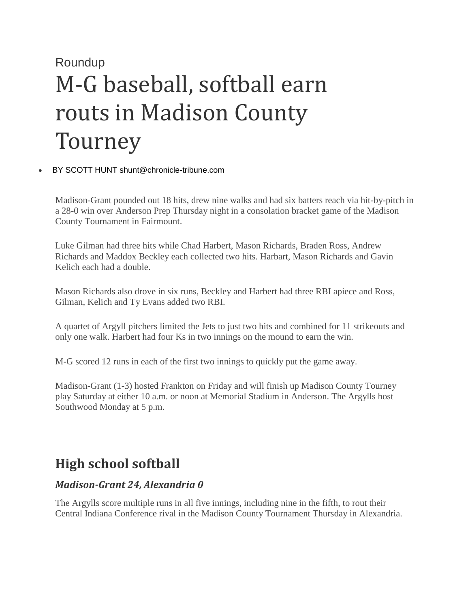## Roundup M-G baseball, softball earn routs in Madison County Tourney

## • [BY SCOTT HUNT shunt@chronicle-tribune.com](https://www.chronicle-tribune.com/users/profile/Scott%20Hunt)

Madison-Grant pounded out 18 hits, drew nine walks and had six batters reach via hit-by-pitch in a 28-0 win over Anderson Prep Thursday night in a consolation bracket game of the Madison County Tournament in Fairmount.

Luke Gilman had three hits while Chad Harbert, Mason Richards, Braden Ross, Andrew Richards and Maddox Beckley each collected two hits. Harbart, Mason Richards and Gavin Kelich each had a double.

Mason Richards also drove in six runs, Beckley and Harbert had three RBI apiece and Ross, Gilman, Kelich and Ty Evans added two RBI.

A quartet of Argyll pitchers limited the Jets to just two hits and combined for 11 strikeouts and only one walk. Harbert had four Ks in two innings on the mound to earn the win.

M-G scored 12 runs in each of the first two innings to quickly put the game away.

Madison-Grant (1-3) hosted Frankton on Friday and will finish up Madison County Tourney play Saturday at either 10 a.m. or noon at Memorial Stadium in Anderson. The Argylls host Southwood Monday at 5 p.m.

## **High school softball**

## *Madison-Grant 24, Alexandria 0*

The Argylls score multiple runs in all five innings, including nine in the fifth, to rout their Central Indiana Conference rival in the Madison County Tournament Thursday in Alexandria.